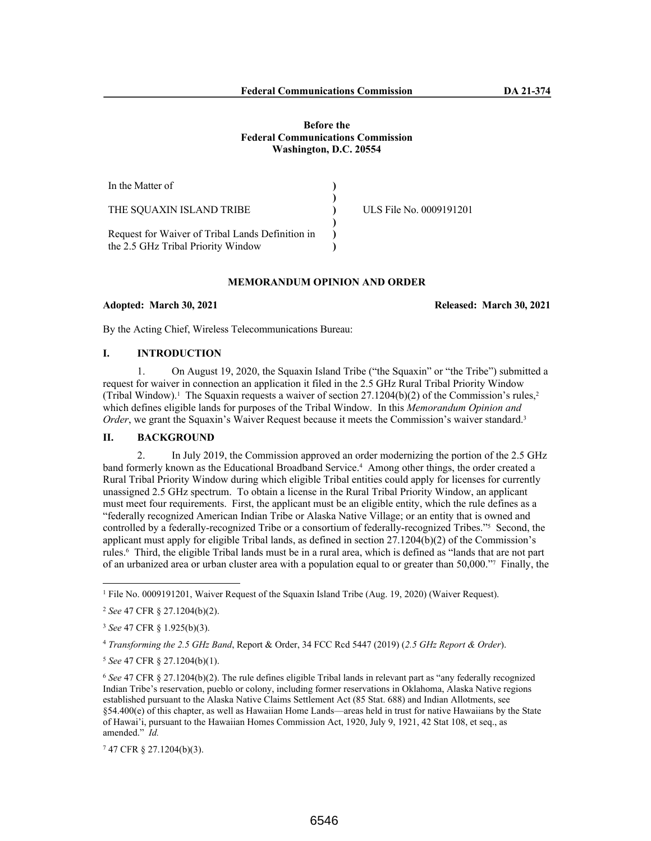### **Before the Federal Communications Commission Washington, D.C. 20554**

| In the Matter of                                                                       |                         |
|----------------------------------------------------------------------------------------|-------------------------|
| THE SOUAXIN ISLAND TRIBE                                                               | ULS File No. 0009191201 |
| Request for Waiver of Tribal Lands Definition in<br>the 2.5 GHz Tribal Priority Window |                         |

# **MEMORANDUM OPINION AND ORDER**

#### **Adopted: March 30, 2021 Released: March 30, 2021**

By the Acting Chief, Wireless Telecommunications Bureau:

# **I. INTRODUCTION**

1. On August 19, 2020, the Squaxin Island Tribe ("the Squaxin" or "the Tribe") submitted a request for waiver in connection an application it filed in the 2.5 GHz Rural Tribal Priority Window (Tribal Window).<sup>1</sup> The Squaxin requests a waiver of section 27.1204(b)(2) of the Commission's rules,<sup>2</sup> which defines eligible lands for purposes of the Tribal Window. In this *Memorandum Opinion and Order*, we grant the Squaxin's Waiver Request because it meets the Commission's waiver standard.<sup>3</sup>

# **II. BACKGROUND**

2. In July 2019, the Commission approved an order modernizing the portion of the 2.5 GHz band formerly known as the Educational Broadband Service.<sup>4</sup> Among other things, the order created a Rural Tribal Priority Window during which eligible Tribal entities could apply for licenses for currently unassigned 2.5 GHz spectrum. To obtain a license in the Rural Tribal Priority Window, an applicant must meet four requirements. First, the applicant must be an eligible entity, which the rule defines as a "federally recognized American Indian Tribe or Alaska Native Village; or an entity that is owned and controlled by a federally-recognized Tribe or a consortium of federally-recognized Tribes."<sup>5</sup> Second, the applicant must apply for eligible Tribal lands, as defined in section 27.1204(b)(2) of the Commission's rules.<sup>6</sup> Third, the eligible Tribal lands must be in a rural area, which is defined as "lands that are not part of an urbanized area or urban cluster area with a population equal to or greater than 50,000."<sup>7</sup> Finally, the

<sup>1</sup> File No. 0009191201, Waiver Request of the Squaxin Island Tribe (Aug. 19, 2020) (Waiver Request).

<sup>2</sup> *See* 47 CFR § 27.1204(b)(2).

<sup>3</sup> *See* 47 CFR § 1.925(b)(3).

<sup>4</sup> *Transforming the 2.5 GHz Band*, Report & Order, 34 FCC Rcd 5447 (2019) (*2.5 GHz Report & Order*).

<sup>5</sup> *See* 47 CFR § 27.1204(b)(1).

<sup>6</sup> *See* 47 CFR § 27.1204(b)(2). The rule defines eligible Tribal lands in relevant part as "any federally recognized Indian Tribe's reservation, pueblo or colony, including former reservations in Oklahoma, Alaska Native regions established pursuant to the Alaska Native Claims Settlement Act (85 Stat. 688) and Indian Allotments, see §54.400(e) of this chapter, as well as Hawaiian Home Lands—areas held in trust for native Hawaiians by the State of Hawai'i, pursuant to the Hawaiian Homes Commission Act, 1920, July 9, 1921, 42 Stat 108, et seq., as amended." *Id.*

<sup>7</sup> 47 CFR § 27.1204(b)(3).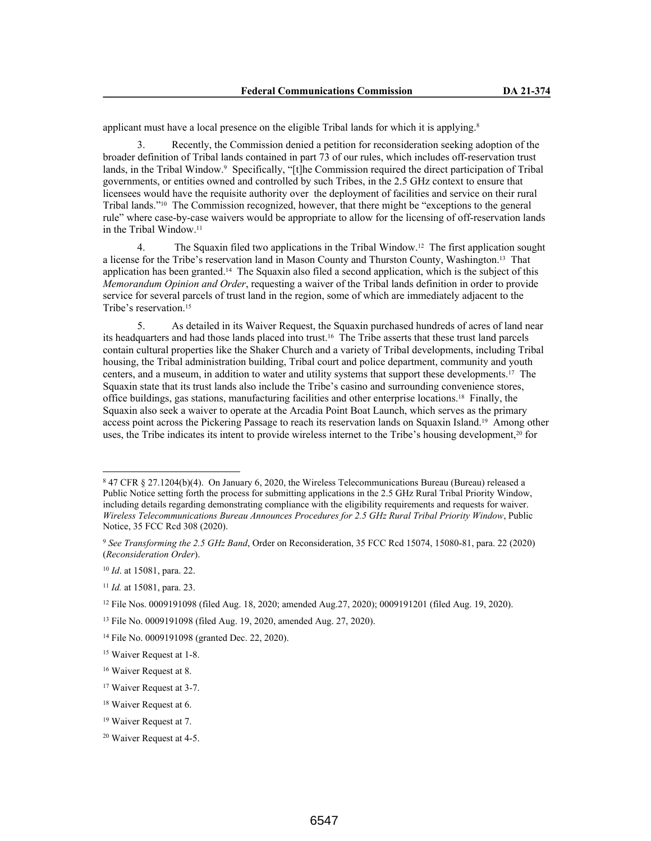applicant must have a local presence on the eligible Tribal lands for which it is applying.<sup>8</sup>

3. Recently, the Commission denied a petition for reconsideration seeking adoption of the broader definition of Tribal lands contained in part 73 of our rules, which includes off-reservation trust lands, in the Tribal Window.<sup>9</sup> Specifically, "[t]he Commission required the direct participation of Tribal governments, or entities owned and controlled by such Tribes, in the 2.5 GHz context to ensure that licensees would have the requisite authority over the deployment of facilities and service on their rural Tribal lands."10 The Commission recognized, however, that there might be "exceptions to the general rule" where case-by-case waivers would be appropriate to allow for the licensing of off-reservation lands in the Tribal Window.<sup>11</sup>

4. The Squaxin filed two applications in the Tribal Window.12 The first application sought a license for the Tribe's reservation land in Mason County and Thurston County, Washington.13 That application has been granted.14 The Squaxin also filed a second application, which is the subject of this *Memorandum Opinion and Order*, requesting a waiver of the Tribal lands definition in order to provide service for several parcels of trust land in the region, some of which are immediately adjacent to the Tribe's reservation.<sup>15</sup>

5. As detailed in its Waiver Request, the Squaxin purchased hundreds of acres of land near its headquarters and had those lands placed into trust.16 The Tribe asserts that these trust land parcels contain cultural properties like the Shaker Church and a variety of Tribal developments, including Tribal housing, the Tribal administration building, Tribal court and police department, community and youth centers, and a museum, in addition to water and utility systems that support these developments.17 The Squaxin state that its trust lands also include the Tribe's casino and surrounding convenience stores, office buildings, gas stations, manufacturing facilities and other enterprise locations.18 Finally, the Squaxin also seek a waiver to operate at the Arcadia Point Boat Launch, which serves as the primary access point across the Pickering Passage to reach its reservation lands on Squaxin Island.19 Among other uses, the Tribe indicates its intent to provide wireless internet to the Tribe's housing development,20 for

<sup>8</sup> 47 CFR § 27.1204(b)(4). On January 6, 2020, the Wireless Telecommunications Bureau (Bureau) released a Public Notice setting forth the process for submitting applications in the 2.5 GHz Rural Tribal Priority Window, including details regarding demonstrating compliance with the eligibility requirements and requests for waiver. *Wireless Telecommunications Bureau Announces Procedures for 2.5 GHz Rural Tribal Priority Window*, Public Notice, 35 FCC Rcd 308 (2020).

<sup>9</sup> *See Transforming the 2.5 GHz Band*, Order on Reconsideration, 35 FCC Rcd 15074, 15080-81, para. 22 (2020) (*Reconsideration Order*).

<sup>10</sup> *Id*. at 15081, para. 22.

<sup>11</sup> *Id.* at 15081, para. 23.

<sup>12</sup> File Nos. 0009191098 (filed Aug. 18, 2020; amended Aug.27, 2020); 0009191201 (filed Aug. 19, 2020).

<sup>13</sup> File No. 0009191098 (filed Aug. 19, 2020, amended Aug. 27, 2020).

<sup>14</sup> File No. 0009191098 (granted Dec. 22, 2020).

<sup>&</sup>lt;sup>15</sup> Waiver Request at 1-8.

<sup>16</sup> Waiver Request at 8.

<sup>17</sup> Waiver Request at 3-7.

<sup>18</sup> Waiver Request at 6.

<sup>19</sup> Waiver Request at 7.

<sup>20</sup> Waiver Request at 4-5.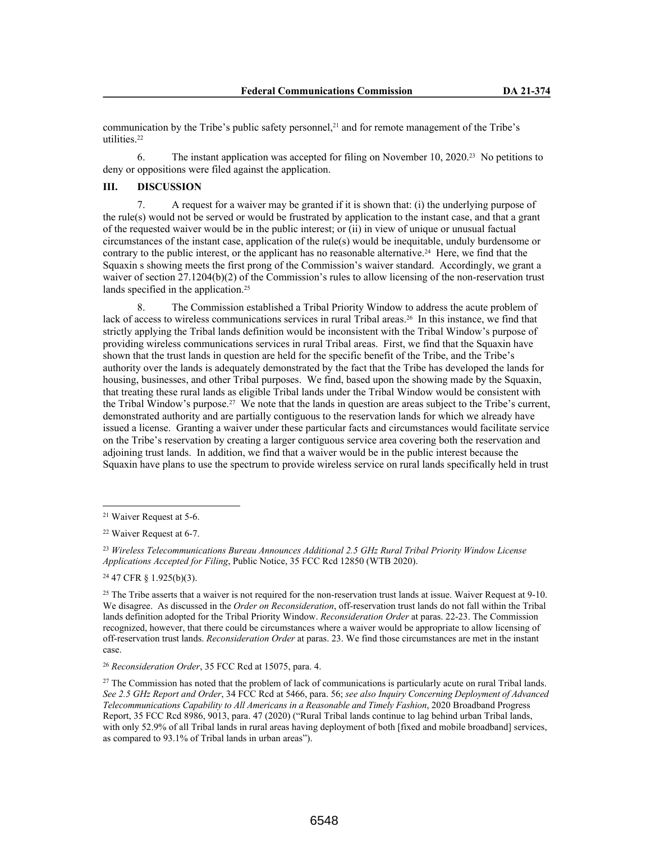communication by the Tribe's public safety personnel,<sup>21</sup> and for remote management of the Tribe's utilities.<sup>22</sup>

6. The instant application was accepted for filing on November 10, 2020.23 No petitions to deny or oppositions were filed against the application.

### **III. DISCUSSION**

7. A request for a waiver may be granted if it is shown that: (i) the underlying purpose of the rule(s) would not be served or would be frustrated by application to the instant case, and that a grant of the requested waiver would be in the public interest; or (ii) in view of unique or unusual factual circumstances of the instant case, application of the rule(s) would be inequitable, unduly burdensome or contrary to the public interest, or the applicant has no reasonable alternative.<sup>24</sup> Here, we find that the Squaxin s showing meets the first prong of the Commission's waiver standard. Accordingly, we grant a waiver of section 27.1204(b)(2) of the Commission's rules to allow licensing of the non-reservation trust lands specified in the application.<sup>25</sup>

8. The Commission established a Tribal Priority Window to address the acute problem of lack of access to wireless communications services in rural Tribal areas.26 In this instance, we find that strictly applying the Tribal lands definition would be inconsistent with the Tribal Window's purpose of providing wireless communications services in rural Tribal areas. First, we find that the Squaxin have shown that the trust lands in question are held for the specific benefit of the Tribe, and the Tribe's authority over the lands is adequately demonstrated by the fact that the Tribe has developed the lands for housing, businesses, and other Tribal purposes. We find, based upon the showing made by the Squaxin, that treating these rural lands as eligible Tribal lands under the Tribal Window would be consistent with the Tribal Window's purpose.27 We note that the lands in question are areas subject to the Tribe's current, demonstrated authority and are partially contiguous to the reservation lands for which we already have issued a license. Granting a waiver under these particular facts and circumstances would facilitate service on the Tribe's reservation by creating a larger contiguous service area covering both the reservation and adjoining trust lands. In addition, we find that a waiver would be in the public interest because the Squaxin have plans to use the spectrum to provide wireless service on rural lands specifically held in trust

<sup>24</sup> 47 CFR § 1.925(b)(3).

<sup>26</sup> *Reconsideration Order*, 35 FCC Rcd at 15075, para. 4.

<sup>21</sup> Waiver Request at 5-6.

<sup>22</sup> Waiver Request at 6-7.

<sup>23</sup> *Wireless Telecommunications Bureau Announces Additional 2.5 GHz Rural Tribal Priority Window License Applications Accepted for Filing*, Public Notice, 35 FCC Rcd 12850 (WTB 2020).

 $25$  The Tribe asserts that a waiver is not required for the non-reservation trust lands at issue. Waiver Request at 9-10. We disagree. As discussed in the *Order on Reconsideration*, off-reservation trust lands do not fall within the Tribal lands definition adopted for the Tribal Priority Window. *Reconsideration Order* at paras. 22-23. The Commission recognized, however, that there could be circumstances where a waiver would be appropriate to allow licensing of off-reservation trust lands. *Reconsideration Order* at paras. 23. We find those circumstances are met in the instant case.

<sup>&</sup>lt;sup>27</sup> The Commission has noted that the problem of lack of communications is particularly acute on rural Tribal lands. *See 2.5 GHz Report and Order*, 34 FCC Rcd at 5466, para. 56; *see also Inquiry Concerning Deployment of Advanced Telecommunications Capability to All Americans in a Reasonable and Timely Fashion*, 2020 Broadband Progress Report, 35 FCC Rcd 8986, 9013, para. 47 (2020) ("Rural Tribal lands continue to lag behind urban Tribal lands, with only 52.9% of all Tribal lands in rural areas having deployment of both [fixed and mobile broadband] services, as compared to 93.1% of Tribal lands in urban areas").